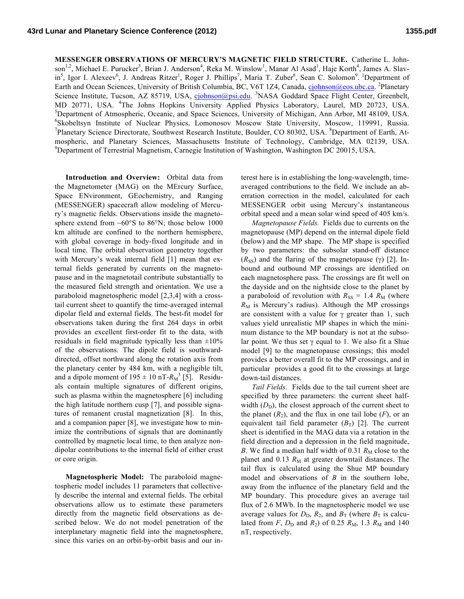**MESSENGER OBSERVATIONS OF MERCURY'S MAGNETIC FIELD STRUCTURE.** Catherine L. Johnson<sup>1,2</sup>, Michael E. Purucker<sup>3</sup>, Brian J. Anderson<sup>4</sup>, Reka M. Winslow<sup>1</sup>, Manar Al Asad<sup>1</sup>, Haje Korth<sup>4</sup>, James A. Slavin<sup>5</sup>, Igor I. Alexeev<sup>6</sup>, J. Andreas Ritzer<sup>1</sup>, Roger J. Phillips<sup>7</sup>, Maria T. Zuber<sup>8</sup>, Sean C. Solomon<sup>9</sup>. <sup>1</sup>Department of Earth and Ocean Sciences, University of British Columbia, BC, V6T 1Z4, Canada, cjohnson@eos.ubc.ca. <sup>2</sup>Planetary Science Institute, Tucson, AZ 85719, USA, cjohnson@psi.edu. <sup>3</sup>NASA Goddard Space Flight Center, Greenbelt, MD 20771, USA. <sup>4</sup>The Johns Hopkins University Applied Physics Laboratory, Laurel, MD 20723, USA. <sup>5</sup>Department of Atmospheric, Oceanic, and Space Sciences, University of Michigan, Ann Arbor, MI 48109, USA. <sup>6</sup>Skobeltsyn Institute of Nuclear Physics, Lomonosov Moscow State University, Moscow, 119991, Russia. Planetary Science Directorate, Southwest Research Institute, Boulder, CO 80302, USA. <sup>8</sup>Department of Earth, Atmospheric, and Planetary Sciences, Massachusetts Institute of Technology, Cambridge, MA 02139, USA. <sup>9</sup>Department of Terrestrial Magnetism, Carnegie Institution of Washington, Washington DC 20015, USA.

**Introduction and Overview:** Orbital data from the Magnetometer (MAG) on the MErcury Surface, Space ENvironment, GEochemistry, and Ranging (MESSENGER) spacecraft allow modeling of Mercury's magnetic fields. Observations inside the magnetosphere extend from ~60°S to 86°N; those below 1000 km altitude are confined to the northern hemisphere, with global coverage in body-fixed longitude and in local time. The orbital observation geometry together with Mercury's weak internal field [1] mean that external fields generated by currents on the magnetopause and in the magnetotail contribute substantially to the measured field strength and orientation. We use a paraboloid magnetospheric model [2,3,4] with a crosstail current sheet to quantify the time-averaged internal dipolar field and external fields. The best-fit model for observations taken during the first 264 days in orbit provides an excellent first-order fit to the data, with residuals in field magnitude typically less than  $\pm 10\%$ of the observations. The dipole field is southwarddirected, offset northward along the rotation axis from the planetary center by 484 km, with a negligible tilt, and a dipole moment of  $195 \pm 10 \text{ nT}$ - $R_M^3$  [5]. Residuals contain multiple signatures of different origins, such as plasma within the magnetosphere [6] including the high latitude northern cusp [7], and possible signatures of remanent crustal magnetization [8]. In this, and a companion paper [8], we investigate how to minimize the contributions of signals that are dominantly controlled by magnetic local time, to then analyze nondipolar contributions to the internal field of either crust or core origin.

**Magnetospheric Model:** The paraboloid magnetospheric model includes 11 parameters that collectively describe the internal and external fields. The orbital observations allow us to estimate these parameters directly from the magnetic field observations as described below. We do not model penetration of the interplanetary magnetic field into the magnetosphere, since this varies on an orbit-by-orbit basis and our in-

terest here is in establishing the long-wavelength, timeaveraged contributions to the field. We include an aberration correction in the model, calculated for each MESSENGER orbit using Mercury's instantaneous orbital speed and a mean solar wind speed of 405 km/s.

*Magnetopause Fields.* Fields due to currents on the magnetopause (MP) depend on the internal dipole field (below) and the MP shape. The MP shape is specified by two parameters: the subsolar stand-off distance  $(R_{SS})$  and the flaring of the magnetopause ( $\gamma$ ) [2]. Inbound and outbound MP crossings are identified on each magnetosphere pass. The crossings are fit well on the dayside and on the nightside close to the planet by a paraboloid of revolution with  $R_{SS} = 1.4 R_M$  (where  $R_M$  is Mercury's radius). Although the MP crossings are consistent with a value for  $\gamma$  greater than 1, such values yield unrealistic MP shapes in which the minimum distance to the MP boundary is not at the subsolar point. We thus set  $\gamma$  equal to 1. We also fit a Shue model [9] to the magnetopause crossings; this model provides a better overall fit to the MP crossings, and in particular provides a good fit to the crossings at large down-tail distances.

*Tail Fields.* Fields due to the tail current sheet are specified by three parameters: the current sheet halfwidth  $(D_D)$ , the closest approach of the current sheet to the planet  $(R_2)$ , and the flux in one tail lobe  $(F)$ , or an equivalent tail field parameter  $(B_T)$  [2]. The current sheet is identified in the MAG data via a rotation in the field direction and a depression in the field magnitude, *B*. We find a median half width of 0.31  $R_M$  close to the planet and  $0.13 R<sub>M</sub>$  at greater downtail distances. The tail flux is calculated using the Shue MP boundary model and observations of *B* in the southern lobe, away from the influence of the planetary field and the MP boundary. This procedure gives an average tail flux of 2.6 MWb. In the magnetospheric model we use average values for  $D_{\text{D}}$ ,  $R_2$ , and  $B_{\text{T}}$  (where  $B_{\text{T}}$  is calculated from *F*,  $D_D$  and  $R_2$ ) of 0.25  $R_M$ , 1.3  $R_M$  and 140 nT, respectively.